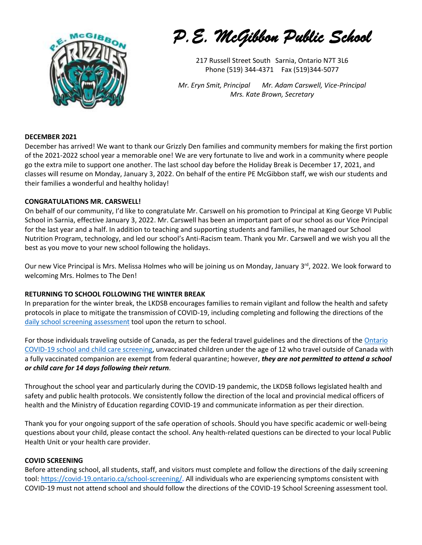

*P.E. McGibbon Public School* 

217 Russell Street South Sarnia, Ontario N7T 3L6 Phone (519) 344-4371 Fax (519)344-5077

*Mr. Eryn Smit, Principal Mr. Adam Carswell, Vice-Principal Mrs. Kate Brown, Secretary*

# **DECEMBER 2021**

December has arrived! We want to thank our Grizzly Den families and community members for making the first portion of the 2021-2022 school year a memorable one! We are very fortunate to live and work in a community where people go the extra mile to support one another. The last school day before the Holiday Break is December 17, 2021, and classes will resume on Monday, January 3, 2022. On behalf of the entire PE McGibbon staff, we wish our students and their families a wonderful and healthy holiday!

# **CONGRATULATIONS MR. CARSWELL!**

On behalf of our community, I'd like to congratulate Mr. Carswell on his promotion to Principal at King George VI Public School in Sarnia, effective January 3, 2022. Mr. Carswell has been an important part of our school as our Vice Principal for the last year and a half. In addition to teaching and supporting students and families, he managed our School Nutrition Program, technology, and led our school's Anti-Racism team. Thank you Mr. Carswell and we wish you all the best as you move to your new school following the holidays.

Our new Vice Principal is Mrs. Melissa Holmes who will be joining us on Monday, January 3<sup>rd</sup>, 2022. We look forward to welcoming Mrs. Holmes to The Den!

#### **RETURNING TO SCHOOL FOLLOWING THE WINTER BREAK**

In preparation for the winter break, the LKDSB encourages families to remain vigilant and follow the health and safety protocols in place to mitigate the transmission of COVID-19, including completing and following the directions of the [daily school screening assessment](https://can01.safelinks.protection.outlook.com/?url=http%3A%2F%2Ftrack.spe.schoolmessenger.com%2Ff%2Fa%2Fow2C72jrIbYJxSszS9O6Bw~~%2FAAAAAQA~%2FRgRjgTd-P0QtaHR0cHM6Ly9jb3ZpZC0xOS5vbnRhcmlvLmNhL3NjaG9vbC1zY3JlZW5pbmcvVwdzY2hvb2xtQgphi_4DoGH0DcZrUhhjYW1lcm9uLmdvcmRvbkBsa2RzYi5uZXRYBAAAAAI~&data=04%7C01%7Ccameron.gordon%40lkdsb.net%7C7663fba2571a48602f7508d9b05ce989%7C4bbfe989df0e4ac2afefb0fc99677a10%7C0%7C0%7C637734735380259000%7CUnknown%7CTWFpbGZsb3d8eyJWIjoiMC4wLjAwMDAiLCJQIjoiV2luMzIiLCJBTiI6Ik1haWwiLCJXVCI6Mn0%3D%7C3000&sdata=1Y7ahMEabgevnJJCEJG2ajKK2uO5NFHFtwgJA6o2T44%3D&reserved=0) tool upon the return to school.

For those individuals traveling outside of Canada, as per the federal travel guidelines and the directions of the Ontario [COVID-19 school and child care screening,](https://can01.safelinks.protection.outlook.com/?url=http%3A%2F%2Ftrack.spe.schoolmessenger.com%2Ff%2Fa%2Fow2C72jrIbYJxSszS9O6Bw~~%2FAAAAAQA~%2FRgRjgTd-P0QtaHR0cHM6Ly9jb3ZpZC0xOS5vbnRhcmlvLmNhL3NjaG9vbC1zY3JlZW5pbmcvVwdzY2hvb2xtQgphi_4DoGH0DcZrUhhjYW1lcm9uLmdvcmRvbkBsa2RzYi5uZXRYBAAAAAI~&data=04%7C01%7Ccameron.gordon%40lkdsb.net%7C7663fba2571a48602f7508d9b05ce989%7C4bbfe989df0e4ac2afefb0fc99677a10%7C0%7C0%7C637734735380209206%7CUnknown%7CTWFpbGZsb3d8eyJWIjoiMC4wLjAwMDAiLCJQIjoiV2luMzIiLCJBTiI6Ik1haWwiLCJXVCI6Mn0%3D%7C3000&sdata=h8qnlwJSU5MvoWSkqsvv0%2BniPFXx6esdl2wntVhzGjM%3D&reserved=0) unvaccinated children under the age of 12 who travel outside of Canada with a fully vaccinated companion are exempt from federal quarantine; however, *they are not permitted to attend a school or child care for 14 days following their return.*

Throughout the school year and particularly during the COVID-19 pandemic, the LKDSB follows legislated health and safety and public health protocols. We consistently follow the direction of the local and provincial medical officers of health and the Ministry of Education regarding COVID-19 and communicate information as per their direction.

Thank you for your ongoing support of the safe operation of schools. Should you have specific academic or well-being questions about your child, please contact the school. Any health-related questions can be directed to your local Public Health Unit or your health care provider.

#### **COVID SCREENING**

Before attending school, all students, staff, and visitors must complete and follow the directions of the daily screening tool: [https://covid-19.ontario.ca/school-screening/.](https://covid-19.ontario.ca/school-screening/) All individuals who are experiencing symptoms consistent with COVID-19 must not attend school and should follow the directions of the COVID-19 School Screening assessment tool.